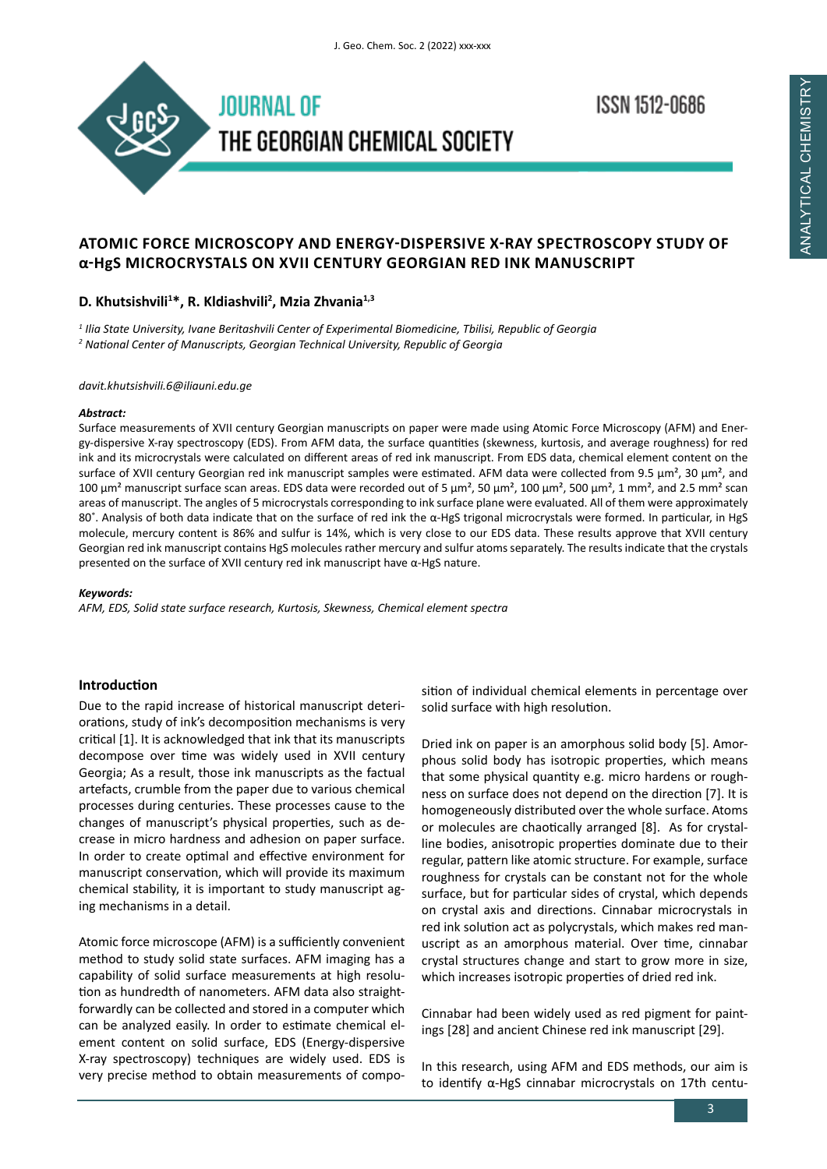

**ISSN 1512-0686** 

# **ATOMIC FORCE MICROSCOPY AND ENERGY-DISPERSIVE X-RAY SPECTROSCOPY STUDY OF α-HgS MICROCRYSTALS ON XVII CENTURY GEORGIAN RED INK MANUSCRIPT**

# **D. Khutsishvili<sup>1</sup> \*, R. Kldiashvili<sup>2</sup> , Mzia Zhvania1,3**

*1 Ilia State University, Ivane Beritashvili Center of Experimental Biomedicine, Tbilisi, Republic of Georgia 2 National Center of Manuscripts, Georgian Technical University, Republic of Georgia*

*davit.khutsishvili.6@iliauni.edu.ge*

## *Abstract:*

Surface measurements of XVII century Georgian manuscripts on paper were made using Atomic Force Microscopy (AFM) and Energy-dispersive X-ray spectroscopy (EDS). From AFM data, the surface quantities (skewness, kurtosis, and average roughness) for red ink and its microcrystals were calculated on different areas of red ink manuscript. From EDS data, chemical element content on the surface of XVII century Georgian red ink manuscript samples were estimated. AFM data were collected from 9.5  $\mu$ m<sup>2</sup>, 30  $\mu$ m<sup>2</sup>, and 100  $\mu$ m<sup>2</sup> manuscript surface scan areas. EDS data were recorded out of 5  $\mu$ m<sup>2</sup>, 50  $\mu$ m<sup>2</sup>, 500  $\mu$ m<sup>2</sup>, 500  $\mu$ m<sup>2</sup>, and 2.5 mm<sup>2</sup> scan areas of manuscript. The angles of 5 microcrystals corresponding to ink surface plane were evaluated. All of them were approximately 80˚. Analysis of both data indicate that on the surface of red ink the α-HgS trigonal microcrystals were formed. In particular, in HgS molecule, mercury content is 86% and sulfur is 14%, which is very close to our EDS data. These results approve that XVII century Georgian red ink manuscript contains HgS molecules rather mercury and sulfur atoms separately. The results indicate that the crystals presented on the surface of XVII century red ink manuscript have α-HgS nature.

## *Keywords:*

*AFM, EDS, Solid state surface research, Kurtosis, Skewness, Chemical element spectra* 

# **Introduction**

Due to the rapid increase of historical manuscript deteriorations, study of ink's decomposition mechanisms is very critical [1]. It is acknowledged that ink that its manuscripts decompose over time was widely used in XVII century Georgia; As a result, those ink manuscripts as the factual artefacts, crumble from the paper due to various chemical processes during centuries. These processes cause to the changes of manuscript's physical properties, such as decrease in micro hardness and adhesion on paper surface. In order to create optimal and effective environment for manuscript conservation, which will provide its maximum chemical stability, it is important to study manuscript aging mechanisms in a detail.

Atomic force microscope (AFM) is a sufficiently convenient method to study solid state surfaces. AFM imaging has a capability of solid surface measurements at high resolution as hundredth of nanometers. AFM data also straightforwardly can be collected and stored in a computer which can be analyzed easily. In order to estimate chemical element content on solid surface, EDS (Energy-dispersive X-ray spectroscopy) techniques are widely used. EDS is very precise method to obtain measurements of compo-

sition of individual chemical elements in percentage over solid surface with high resolution.

Dried ink on paper is an amorphous solid body [5]. Amorphous solid body has isotropic properties, which means that some physical quantity e.g. micro hardens or roughness on surface does not depend on the direction [7]. It is homogeneously distributed over the whole surface. Atoms or molecules are chaotically arranged [8]. As for crystalline bodies, anisotropic properties dominate due to their regular, pattern like atomic structure. For example, surface roughness for crystals can be constant not for the whole surface, but for particular sides of crystal, which depends on crystal axis and directions. Cinnabar microcrystals in red ink solution act as polycrystals, which makes red manuscript as an amorphous material. Over time, cinnabar crystal structures change and start to grow more in size, which increases isotropic properties of dried red ink.

Cinnabar had been widely used as red pigment for paintings [28] and ancient Chinese red ink manuscript [29].

In this research, using AFM and EDS methods, our aim is to identify α-HgS cinnabar microcrystals on 17th centu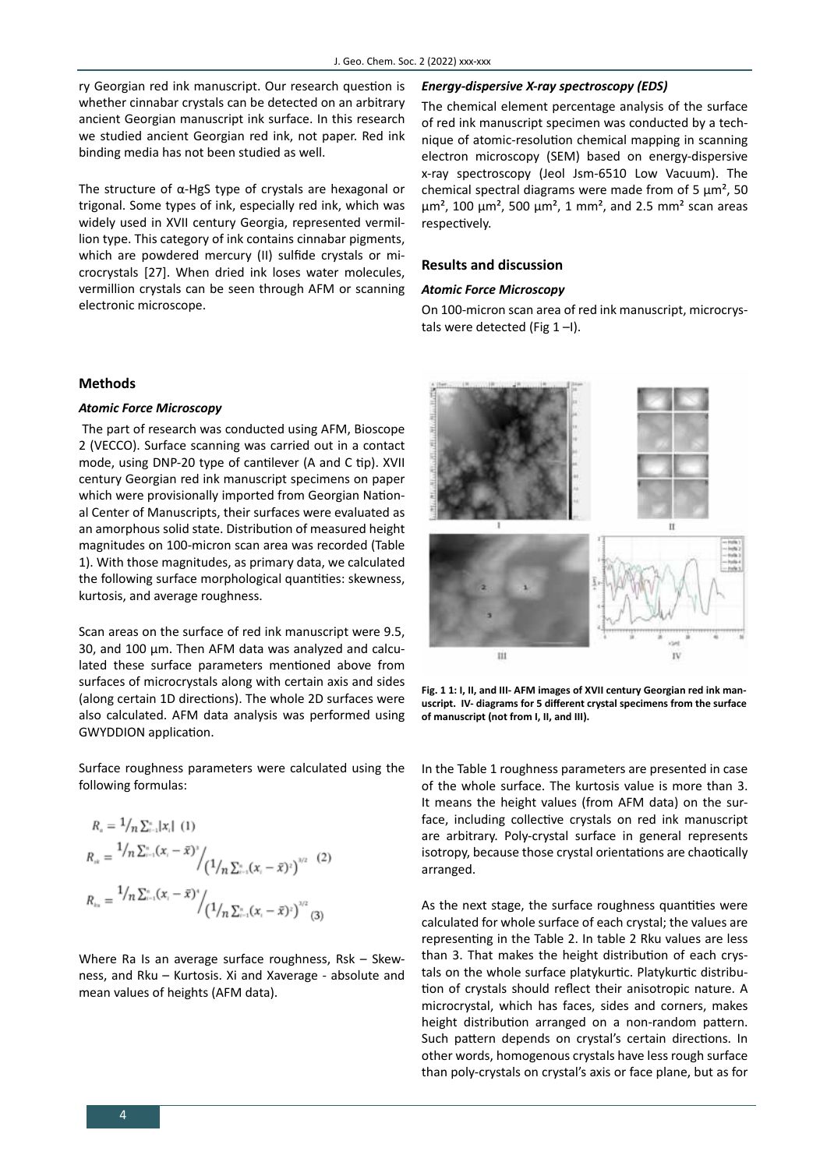ry Georgian red ink manuscript. Our research question is whether cinnabar crystals can be detected on an arbitrary ancient Georgian manuscript ink surface. In this research we studied ancient Georgian red ink, not paper. Red ink binding media has not been studied as well.

The structure of α-HgS type of crystals are hexagonal or trigonal. Some types of ink, especially red ink, which was widely used in XVII century Georgia, represented vermillion type. This category of ink contains cinnabar pigments, which are powdered mercury (II) sulfide crystals or microcrystals [27]. When dried ink loses water molecules, vermillion crystals can be seen through AFM or scanning electronic microscope.

### **Methods**

# *Atomic Force Microscopy*

 The part of research was conducted using AFM, Bioscope 2 (VECCO). Surface scanning was carried out in a contact mode, using DNP-20 type of cantilever (A and C tip). XVII century Georgian red ink manuscript specimens on paper which were provisionally imported from Georgian National Center of Manuscripts, their surfaces were evaluated as an amorphous solid state. Distribution of measured height magnitudes on 100-micron scan area was recorded (Table 1). With those magnitudes, as primary data, we calculated the following surface morphological quantities: skewness, kurtosis, and average roughness.

Scan areas on the surface of red ink manuscript were 9.5, 30, and 100 µm. Then AFM data was analyzed and calculated these surface parameters mentioned above from surfaces of microcrystals along with certain axis and sides (along certain 1D directions). The whole 2D surfaces were also calculated. AFM data analysis was performed using GWYDDION application.

Surface roughness parameters were calculated using the following formulas:

$$
R_{n} = \frac{1}{n} \sum_{i=1}^{n} |x_{i}| (1)
$$
  
\n
$$
R_{n} = \frac{1}{n} \sum_{i=1}^{n} (x_{i} - \bar{x})^{3} / (1/n \sum_{i=1}^{n} (x_{i} - \bar{x})^{2})^{3/2}
$$
  
\n
$$
R_{n} = \frac{1}{n} \sum_{i=1}^{n} (x_{i} - \bar{x})^{3} / (1/n \sum_{i=1}^{n} (x_{i} - \bar{x})^{2})^{3/2}
$$
  
\n(3)

Where Ra Is an average surface roughness, Rsk – Skewness, and Rku – Kurtosis. Xi and Xaverage - absolute and mean values of heights (AFM data).

### *Energy-dispersive X-ray spectroscopy (EDS)*

The chemical element percentage analysis of the surface of red ink manuscript specimen was conducted by a technique of atomic-resolution chemical mapping in scanning electron microscopy (SEM) based on energy-dispersive x-ray spectroscopy (Jeol Jsm-6510 Low Vacuum). The chemical spectral diagrams were made from of 5  $\mu$ m<sup>2</sup>, 50  $\mu$ m<sup>2</sup>, 100  $\mu$ m<sup>2</sup>, 500  $\mu$ m<sup>2</sup>, 1 mm<sup>2</sup>, and 2.5 mm<sup>2</sup> scan areas respectively.

## **Results and discussion**

#### *Atomic Force Microscopy*

On 100-micron scan area of red ink manuscript, microcrystals were detected (Fig  $1 - I$ ).



**Fig. 1 1: I, II, and III- AFM images of XVII century Georgian red ink manuscript. IV- diagrams for 5 different crystal specimens from the surface of manuscript (not from I, II, and III).**

In the Table 1 roughness parameters are presented in case of the whole surface. The kurtosis value is more than 3. It means the height values (from AFM data) on the surface, including collective crystals on red ink manuscript are arbitrary. Poly-crystal surface in general represents isotropy, because those crystal orientations are chaotically arranged.

As the next stage, the surface roughness quantities were calculated for whole surface of each crystal; the values are representing in the Table 2. In table 2 Rku values are less than 3. That makes the height distribution of each crystals on the whole surface platykurtic. Platykurtic distribution of crystals should reflect their anisotropic nature. A microcrystal, which has faces, sides and corners, makes height distribution arranged on a non-random pattern. Such pattern depends on crystal's certain directions. In other words, homogenous crystals have less rough surface than poly-crystals on crystal's axis or face plane, but as for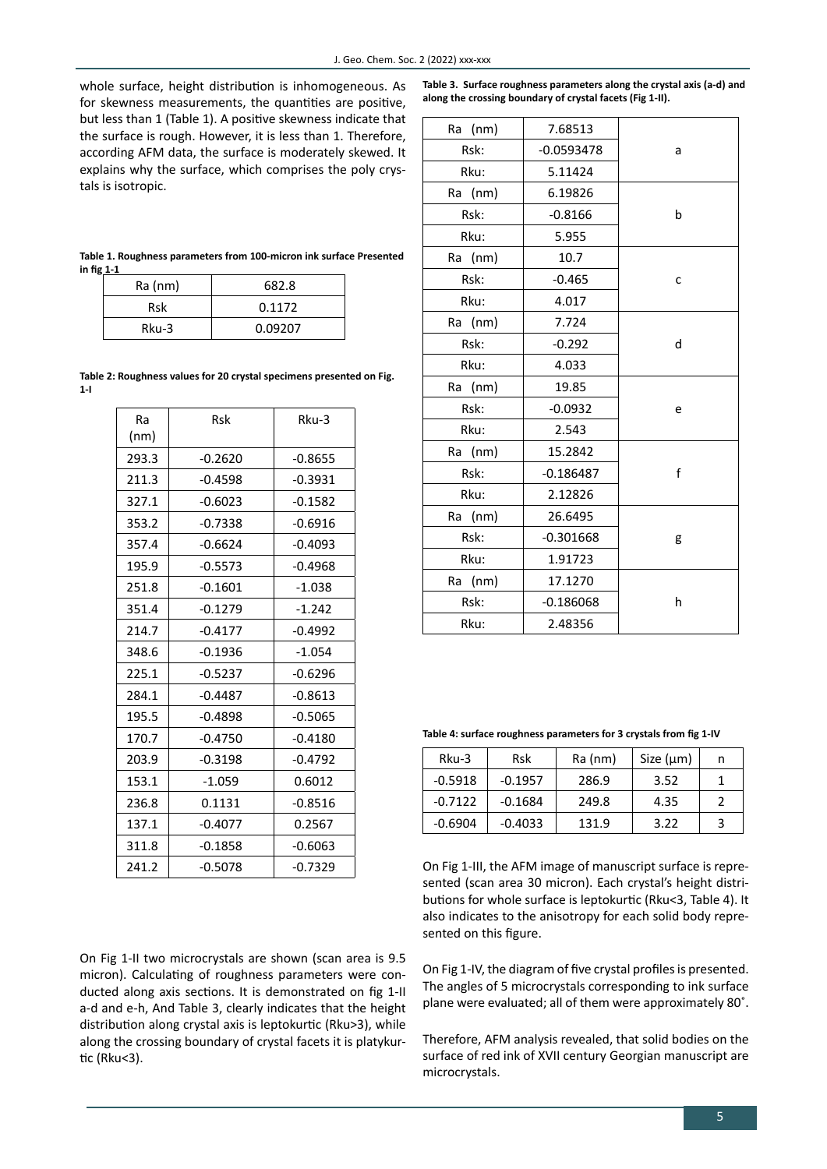whole surface, height distribution is inhomogeneous. As for skewness measurements, the quantities are positive, but less than 1 (Table 1). A positive skewness indicate that the surface is rough. However, it is less than 1. Therefore, according AFM data, the surface is moderately skewed. It explains why the surface, which comprises the poly crystals is isotropic.

**Table 3. Surface roughness parameters along the crystal axis (a-d) and along the crossing boundary of crystal facets (Fig 1-II).**

Ra (nm) 7.68513

|              |         |              | a |
|--------------|---------|--------------|---|
| ٠,<br>lt     | Rsk:    | $-0.0593478$ |   |
| $\mathbf{r}$ | Rku:    | 5.11424      |   |
|              | Ra (nm) | 6.19826      |   |
|              | Rsk:    | $-0.8166$    | b |
|              | Rku:    | 5.955        |   |
| d            | Ra (nm) | 10.7         | C |
|              | Rsk:    | $-0.465$     |   |
|              | Rku:    | 4.017        |   |
|              | Ra (nm) | 7.724        |   |
|              | Rsk:    | $-0.292$     | d |
|              | Rku:    | 4.033        |   |
|              | Ra (nm) | 19.85        |   |
|              | Rsk:    | $-0.0932$    | e |
|              | Rku:    | 2.543        |   |
|              | Ra (nm) | 15.2842      |   |
|              | Rsk:    | $-0.186487$  | f |
|              | Rku:    | 2.12826      |   |
|              | Ra (nm) | 26.6495      | g |
|              | Rsk:    | $-0.301668$  |   |
|              | Rku:    | 1.91723      |   |
|              | Ra (nm) | 17.1270      |   |
|              | Rsk:    | $-0.186068$  | h |
|              | Rku:    | 2.48356      |   |

**Table 1. Roughness parameters from 100-micron ink surface Presented in fig 1-1** 

| $Ra$ (nm) | 682.8   |
|-----------|---------|
| Rsk       | 0.1172  |
| $Rku-3$   | 0.09207 |

**Table 2: Roughness values for 20 crystal specimens presented on Fig. 1-I** 

| Ra    | <b>Rsk</b> | Rku-3     |  |
|-------|------------|-----------|--|
| (nm)  |            |           |  |
| 293.3 | $-0.2620$  | $-0.8655$ |  |
| 211.3 | $-0.4598$  | $-0.3931$ |  |
| 327.1 | $-0.6023$  | $-0.1582$ |  |
| 353.2 | $-0.7338$  | $-0.6916$ |  |
| 357.4 | $-0.6624$  | $-0.4093$ |  |
| 195.9 | $-0.5573$  | $-0.4968$ |  |
| 251.8 | $-0.1601$  | $-1.038$  |  |
| 351.4 | $-0.1279$  | $-1.242$  |  |
| 214.7 | $-0.4177$  | $-0.4992$ |  |
| 348.6 | $-0.1936$  | $-1.054$  |  |
| 225.1 | $-0.5237$  | $-0.6296$ |  |
| 284.1 | $-0.4487$  | $-0.8613$ |  |
| 195.5 | $-0.4898$  | $-0.5065$ |  |
| 170.7 | $-0.4750$  | $-0.4180$ |  |
| 203.9 | $-0.3198$  | $-0.4792$ |  |
| 153.1 | $-1.059$   | 0.6012    |  |
| 236.8 | 0.1131     | $-0.8516$ |  |
| 137.1 | $-0.4077$  | 0.2567    |  |
| 311.8 | $-0.1858$  | $-0.6063$ |  |
| 241.2 | $-0.5078$  | $-0.7329$ |  |

**Table 4: surface roughness parameters for 3 crystals from fig 1-IV**

| Rku-3     | <b>Rsk</b> | Ra (nm) | Size $(\mu m)$ | n |
|-----------|------------|---------|----------------|---|
| $-0.5918$ | $-0.1957$  | 286.9   | 3.52           |   |
| $-0.7122$ | $-0.1684$  | 249.8   | 4.35           |   |
| $-0.6904$ | $-0.4033$  | 131.9   | 3.22           |   |

On Fig 1-III, the AFM image of manuscript surface is represented (scan area 30 micron). Each crystal's height distributions for whole surface is leptokurtic (Rku<3, Table 4). It also indicates to the anisotropy for each solid body represented on this figure.

On Fig 1-IV, the diagram of five crystal profiles is presented. The angles of 5 microcrystals corresponding to ink surface plane were evaluated; all of them were approximately 80˚.

Therefore, AFM analysis revealed, that solid bodies on the surface of red ink of XVII century Georgian manuscript are microcrystals.

On Fig 1-II two microcrystals are shown (scan area is 9.5 micron). Calculating of roughness parameters were conducted along axis sections. It is demonstrated on fig 1-II a-d and e-h, And Table 3, clearly indicates that the height distribution along crystal axis is leptokurtic (Rku>3), while along the crossing boundary of crystal facets it is platykurtic (Rku<3).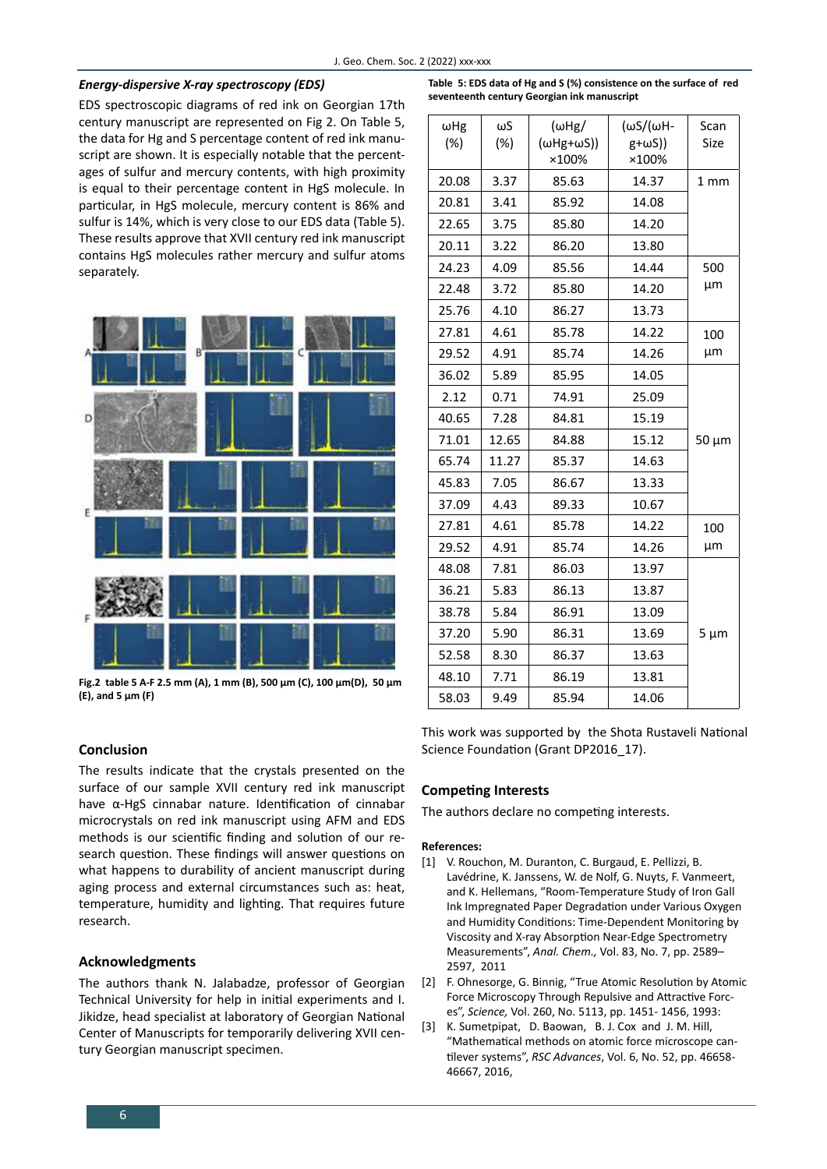### *Energy-dispersive X-ray spectroscopy (EDS)*

EDS spectroscopic diagrams of red ink on Georgian 17th century manuscript are represented on Fig 2. On Table 5, the data for Hg and S percentage content of red ink manuscript are shown. It is especially notable that the percentages of sulfur and mercury contents, with high proximity is equal to their percentage content in HgS molecule. In particular, in HgS molecule, mercury content is 86% and sulfur is 14%, which is very close to our EDS data (Table 5). These results approve that XVII century red ink manuscript contains HgS molecules rather mercury and sulfur atoms separately.



**Fig.2 table 5 A-F 2.5 mm (A), 1 mm (B), 500 µm (C), 100 µm(D), 50 µm (E), and 5 µm (F)** 

# **Conclusion**

The results indicate that the crystals presented on the surface of our sample XVII century red ink manuscript have α-HgS cinnabar nature. Identification of cinnabar microcrystals on red ink manuscript using AFM and EDS methods is our scientific finding and solution of our research question. These findings will answer questions on what happens to durability of ancient manuscript during aging process and external circumstances such as: heat, temperature, humidity and lighting. That requires future research.

# **Acknowledgments**

The authors thank N. Jalabadze, professor of Georgian Technical University for help in initial experiments and I. Jikidze, head specialist at laboratory of Georgian National Center of Manuscripts for temporarily delivering XVII century Georgian manuscript specimen.

**Table 5: EDS data of Hg and S (%) consistence on the surface of red seventeenth century Georgian ink manuscript**

| Scan<br><b>Size</b> | (ωS/(ωH-<br>$g+\omega S)$<br>×100% | $(\omega Hg)$<br>$(\omega Hg+\omega S)$<br>×100% | ωS<br>(%) | $\omega$ Hg<br>(%) |
|---------------------|------------------------------------|--------------------------------------------------|-----------|--------------------|
| 1 <sub>mm</sub>     | 14.37                              | 85.63                                            | 3.37      | 20.08              |
|                     | 14.08                              | 85.92                                            | 3.41      | 20.81              |
|                     | 14.20                              | 85.80                                            | 3.75      | 22.65              |
|                     | 13.80                              | 86.20                                            | 3.22      | 20.11              |
| 500                 | 14.44                              | 85.56                                            | 4.09      | 24.23              |
| μm                  | 14.20                              | 85.80                                            | 3.72      | 22.48              |
|                     | 13.73                              | 86.27                                            | 4.10      | 25.76              |
| 100                 | 14.22                              | 85.78                                            | 4.61      | 27.81              |
| μm                  | 14.26                              | 85.74                                            | 4.91      | 29.52              |
| $50 \mu m$          | 14.05                              | 85.95                                            | 5.89      | 36.02              |
|                     | 25.09                              | 74.91                                            | 0.71      | 2.12               |
|                     | 15.19                              | 84.81                                            | 7.28      | 40.65              |
|                     | 15.12                              | 84.88                                            | 12.65     | 71.01              |
|                     | 14.63                              | 85.37                                            | 11.27     | 65.74              |
|                     | 13.33                              | 86.67                                            | 7.05      | 45.83              |
|                     | 10.67                              | 89.33                                            | 4.43      | 37.09              |
| 100                 | 14.22                              | 85.78                                            | 4.61      | 27.81              |
| μm                  | 14.26                              | 85.74                                            | 4.91      | 29.52              |
|                     | 13.97                              | 86.03                                            | 7.81      | 48.08              |
|                     | 13.87                              | 86.13                                            | 5.83      | 36.21              |
| $5 \mu m$           | 13.09                              | 86.91                                            | 5.84      | 38.78              |
|                     | 13.69                              | 86.31                                            | 5.90      | 37.20              |
|                     | 13.63                              | 86.37                                            | 8.30      | 52.58              |
|                     | 13.81                              | 86.19                                            | 7.71      | 48.10              |
|                     | 14.06                              | 85.94                                            | 9.49      | 58.03              |

This work was supported by the Shota Rustaveli National Science Foundation (Grant DP2016\_17).

### **Competing Interests**

The authors declare no competing interests.

#### **References:**

- [1] V. Rouchon, M. Duranton, C. Burgaud, E. Pellizzi, B. Lavédrine, K. Janssens, W. de Nolf, G. Nuyts, F. Vanmeert, and K. Hellemans, "Room-Temperature Study of Iron Gall Ink Impregnated Paper Degradation under Various Oxygen and Humidity Conditions: Time-Dependent Monitoring by Viscosity and X-ray Absorption Near-Edge Spectrometry Measurements", *Anal. Chem.,* Vol. 83, No. 7, pp. 2589– 2597, 2011
- [2] F. Ohnesorge, G. Binnig, "True Atomic Resolution by Atomic Force Microscopy Through Repulsive and Attractive Forces", *Science,* Vol. 260, No. 5113, pp. 1451- 1456, 1993:
- [3] K. Sumetpipat, D. Baowan, B. J. Cox and J. M. Hill, "Mathematical methods on atomic force microscope cantilever systems", *RSC Advances*, Vol. 6, No. 52, pp. 46658- 46667, 2016,